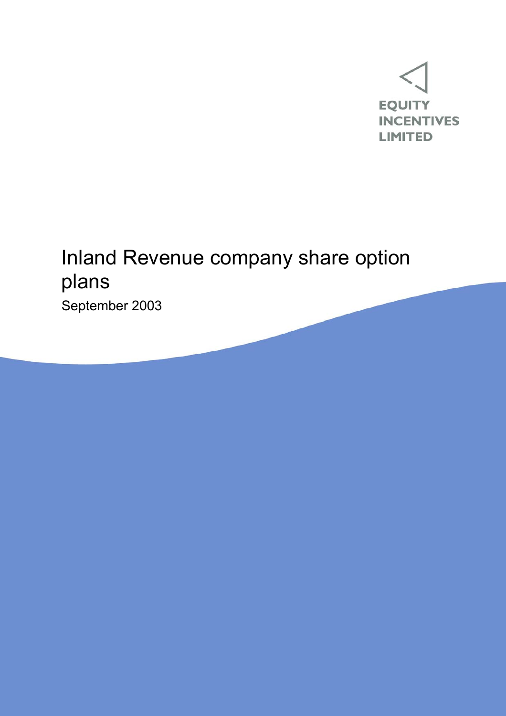

# Inland Revenue company share option plans

September 2003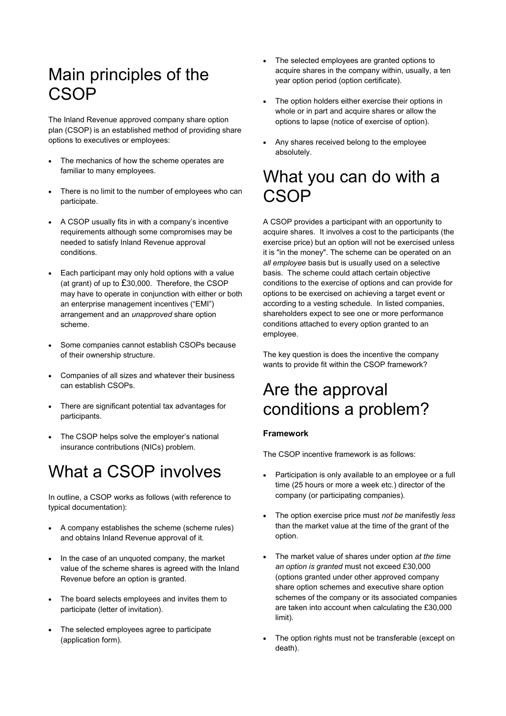### Main principles of the **CSOP**

The Inland Revenue approved company share option plan (CSOP) is an established method of providing share options to executives or employees:

- The mechanics of how the scheme operates are familiar to many employees.
- There is no limit to the number of employees who can participate.
- A CSOP usually fits in with a company's incentive requirements although some compromises may be needed to satisfy Inland Revenue approval conditions.
- Each participant may only hold options with a value (at grant) of up to £30,000. Therefore, the CSOP may have to operate in conjunction with either or both an enterprise management incentives ("EMI") arrangement and an *unapproved* share option scheme.
- Some companies cannot establish CSOPs because of their ownership structure.
- Companies of all sizes and whatever their business can establish CSOPs.
- There are significant potential tax advantages for participants.
- The CSOP helps solve the employer's national insurance contributions (NICs) problem.

## What a CSOP involves

In outline, a CSOP works as follows (with reference to typical documentation):

- A company establishes the scheme (scheme rules) and obtains Inland Revenue approval of it.
- In the case of an unquoted company, the market value of the scheme shares is agreed with the Inland Revenue before an option is granted.
- The board selects employees and invites them to participate (letter of invitation).
- The selected employees agree to participate (application form).
- The selected employees are granted options to acquire shares in the company within, usually, a ten year option period (option certificate).
- The option holders either exercise their options in whole or in part and acquire shares or allow the options to lapse (notice of exercise of option).
- Any shares received belong to the employee absolutely.

### What you can do with a **CSOP**

A CSOP provides a participant with an opportunity to acquire shares. It involves a cost to the participants (the exercise price) but an option will not be exercised unless it is "in the money". The scheme can be operated on an *all employee* basis but is usually used on a selective basis. The scheme could attach certain objective conditions to the exercise of options and can provide for options to be exercised on achieving a target event or according to a vesting schedule. In listed companies, shareholders expect to see one or more performance conditions attached to every option granted to an employee.

The key question is does the incentive the company wants to provide fit within the CSOP framework?

### Are the approval conditions a problem?

#### **Framework**

The CSOP incentive framework is as follows:

- Participation is only available to an employee or a full time (25 hours or more a week etc.) director of the company (or participating companies).
- The option exercise price must *not be* manifestly *less* than the market value at the time of the grant of the option.
- The market value of shares under option *at the time an option is granted* must not exceed £30,000 (options granted under other approved company share option schemes and executive share option schemes of the company or its associated companies are taken into account when calculating the £30,000 limit).
- The option rights must not be transferable (except on death).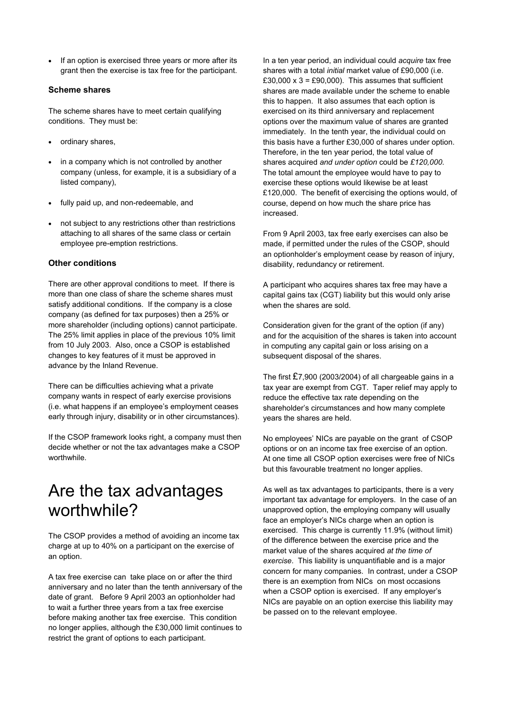If an option is exercised three years or more after its grant then the exercise is tax free for the participant.

#### **Scheme shares**

The scheme shares have to meet certain qualifying conditions. They must be:

- ordinary shares,
- in a company which is not controlled by another company (unless, for example, it is a subsidiary of a listed company),
- fully paid up, and non-redeemable, and
- not subject to any restrictions other than restrictions attaching to all shares of the same class or certain employee pre-emption restrictions.

#### **Other conditions**

There are other approval conditions to meet. If there is more than one class of share the scheme shares must satisfy additional conditions. If the company is a close company (as defined for tax purposes) then a 25% or more shareholder (including options) cannot participate. The 25% limit applies in place of the previous 10% limit from 10 July 2003. Also, once a CSOP is established changes to key features of it must be approved in advance by the Inland Revenue.

There can be difficulties achieving what a private company wants in respect of early exercise provisions (i.e. what happens if an employee's employment ceases early through injury, disability or in other circumstances).

If the CSOP framework looks right, a company must then decide whether or not the tax advantages make a CSOP worthwhile.

### Are the tax advantages worthwhile?

The CSOP provides a method of avoiding an income tax charge at up to 40% on a participant on the exercise of an option.

A tax free exercise can take place on or after the third anniversary and no later than the tenth anniversary of the date of grant. Before 9 April 2003 an optionholder had to wait a further three years from a tax free exercise before making another tax free exercise. This condition no longer applies, although the £30,000 limit continues to restrict the grant of options to each participant.

In a ten year period, an individual could *acquire* tax free shares with a total *initial* market value of £90,000 (i.e. £30,000  $x$  3 = £90,000). This assumes that sufficient shares are made available under the scheme to enable this to happen. It also assumes that each option is exercised on its third anniversary and replacement options over the maximum value of shares are granted immediately. In the tenth year, the individual could on this basis have a further £30,000 of shares under option. Therefore, in the ten year period, the total value of shares acquired *and under option* could be *£120,000*. The total amount the employee would have to pay to exercise these options would likewise be at least £120,000. The benefit of exercising the options would, of course, depend on how much the share price has increased.

From 9 April 2003, tax free early exercises can also be made, if permitted under the rules of the CSOP, should an optionholder's employment cease by reason of injury, disability, redundancy or retirement.

A participant who acquires shares tax free may have a capital gains tax (CGT) liability but this would only arise when the shares are sold.

Consideration given for the grant of the option (if any) and for the acquisition of the shares is taken into account in computing any capital gain or loss arising on a subsequent disposal of the shares.

The first £7,900 (2003/2004) of all chargeable gains in a tax year are exempt from CGT. Taper relief may apply to reduce the effective tax rate depending on the shareholder's circumstances and how many complete years the shares are held.

No employees' NICs are payable on the grant of CSOP options or on an income tax free exercise of an option. At one time all CSOP option exercises were free of NICs but this favourable treatment no longer applies.

As well as tax advantages to participants, there is a very important tax advantage for employers. In the case of an unapproved option, the employing company will usually face an employer's NICs charge when an option is exercised. This charge is currently 11.9% (without limit) of the difference between the exercise price and the market value of the shares acquired *at the time of exercise*. This liability is unquantifiable and is a major concern for many companies. In contrast, under a CSOP there is an exemption from NICs on most occasions when a CSOP option is exercised. If any employer's NICs are payable on an option exercise this liability may be passed on to the relevant employee.